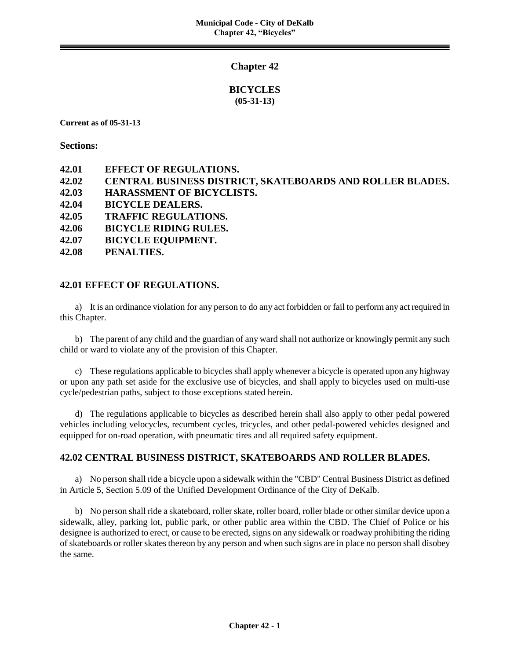# **Chapter 42**

## **BICYCLES (05-31-13)**

**Current as of 05-31-13**

**Sections:**

- **42.01 EFFECT OF REGULATIONS.**
- **42.02 CENTRAL BUSINESS DISTRICT, SKATEBOARDS AND ROLLER BLADES.**
- **42.03 HARASSMENT OF BICYCLISTS.**
- **42.04 BICYCLE DEALERS.**
- **42.05 TRAFFIC REGULATIONS.**
- **42.06 BICYCLE RIDING RULES.**
- **42.07 BICYCLE EQUIPMENT.**
- **42.08 PENALTIES.**

#### **42.01 EFFECT OF REGULATIONS.**

a) It is an ordinance violation for any person to do any act forbidden or fail to perform any act required in this Chapter.

b) The parent of any child and the guardian of any ward shall not authorize or knowingly permit any such child or ward to violate any of the provision of this Chapter.

c) These regulations applicable to bicycles shall apply whenever a bicycle is operated upon any highway or upon any path set aside for the exclusive use of bicycles, and shall apply to bicycles used on multi-use cycle/pedestrian paths, subject to those exceptions stated herein.

d) The regulations applicable to bicycles as described herein shall also apply to other pedal powered vehicles including velocycles, recumbent cycles, tricycles, and other pedal-powered vehicles designed and equipped for on-road operation, with pneumatic tires and all required safety equipment.

### **42.02 CENTRAL BUSINESS DISTRICT, SKATEBOARDS AND ROLLER BLADES.**

a) No person shall ride a bicycle upon a sidewalk within the "CBD" Central Business District as defined in Article 5, Section 5.09 of the Unified Development Ordinance of the City of DeKalb.

b) No person shall ride a skateboard, roller skate, roller board, roller blade or other similar device upon a sidewalk, alley, parking lot, public park, or other public area within the CBD. The Chief of Police or his designee is authorized to erect, or cause to be erected, signs on any sidewalk or roadway prohibiting the riding of skateboards or roller skates thereon by any person and when such signs are in place no person shall disobey the same.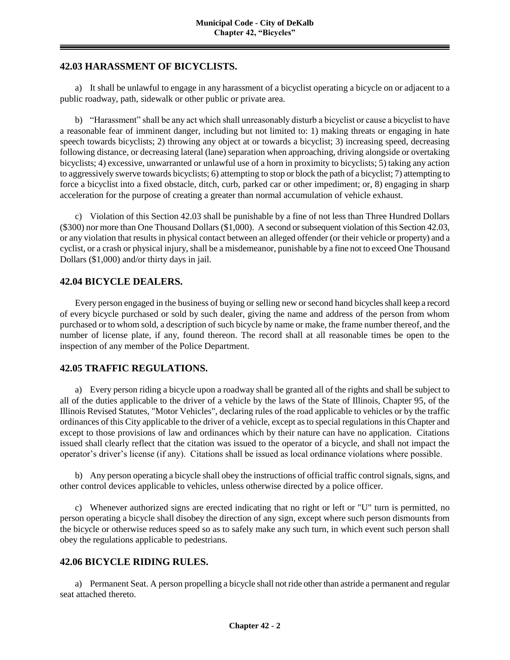#### **42.03 HARASSMENT OF BICYCLISTS.**

a) It shall be unlawful to engage in any harassment of a bicyclist operating a bicycle on or adjacent to a public roadway, path, sidewalk or other public or private area.

b) "Harassment" shall be any act which shall unreasonably disturb a bicyclist or cause a bicyclist to have a reasonable fear of imminent danger, including but not limited to: 1) making threats or engaging in hate speech towards bicyclists; 2) throwing any object at or towards a bicyclist; 3) increasing speed, decreasing following distance, or decreasing lateral (lane) separation when approaching, driving alongside or overtaking bicyclists; 4) excessive, unwarranted or unlawful use of a horn in proximity to bicyclists; 5) taking any action to aggressively swerve towards bicyclists; 6) attempting to stop or block the path of a bicyclist; 7) attempting to force a bicyclist into a fixed obstacle, ditch, curb, parked car or other impediment; or, 8) engaging in sharp acceleration for the purpose of creating a greater than normal accumulation of vehicle exhaust.

c) Violation of this Section 42.03 shall be punishable by a fine of not less than Three Hundred Dollars (\$300) nor more than One Thousand Dollars (\$1,000). A second or subsequent violation of this Section 42.03, or any violation that results in physical contact between an alleged offender (or their vehicle or property) and a cyclist, or a crash or physical injury, shall be a misdemeanor, punishable by a fine not to exceed One Thousand Dollars (\$1,000) and/or thirty days in jail.

### **42.04 BICYCLE DEALERS.**

Every person engaged in the business of buying or selling new or second hand bicycles shall keep a record of every bicycle purchased or sold by such dealer, giving the name and address of the person from whom purchased or to whom sold, a description of such bicycle by name or make, the frame number thereof, and the number of license plate, if any, found thereon. The record shall at all reasonable times be open to the inspection of any member of the Police Department.

#### **42.05 TRAFFIC REGULATIONS.**

a) Every person riding a bicycle upon a roadway shall be granted all of the rights and shall be subject to all of the duties applicable to the driver of a vehicle by the laws of the State of Illinois, Chapter 95, of the Illinois Revised Statutes, "Motor Vehicles", declaring rules of the road applicable to vehicles or by the traffic ordinances of this City applicable to the driver of a vehicle, except as to special regulations in this Chapter and except to those provisions of law and ordinances which by their nature can have no application. Citations issued shall clearly reflect that the citation was issued to the operator of a bicycle, and shall not impact the operator's driver's license (if any). Citations shall be issued as local ordinance violations where possible.

b) Any person operating a bicycle shall obey the instructions of official traffic control signals, signs, and other control devices applicable to vehicles, unless otherwise directed by a police officer.

c) Whenever authorized signs are erected indicating that no right or left or "U" turn is permitted, no person operating a bicycle shall disobey the direction of any sign, except where such person dismounts from the bicycle or otherwise reduces speed so as to safely make any such turn, in which event such person shall obey the regulations applicable to pedestrians.

### **42.06 BICYCLE RIDING RULES.**

a) Permanent Seat. A person propelling a bicycle shall not ride other than astride a permanent and regular seat attached thereto.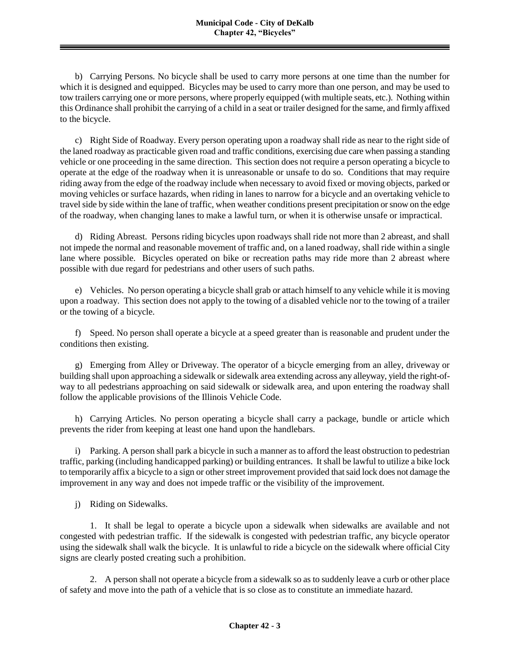b) Carrying Persons. No bicycle shall be used to carry more persons at one time than the number for which it is designed and equipped. Bicycles may be used to carry more than one person, and may be used to tow trailers carrying one or more persons, where properly equipped (with multiple seats, etc.). Nothing within this Ordinance shall prohibit the carrying of a child in a seat or trailer designed for the same, and firmly affixed to the bicycle.

c) Right Side of Roadway. Every person operating upon a roadway shall ride as near to the right side of the laned roadway as practicable given road and traffic conditions, exercising due care when passing a standing vehicle or one proceeding in the same direction. This section does not require a person operating a bicycle to operate at the edge of the roadway when it is unreasonable or unsafe to do so. Conditions that may require riding away from the edge of the roadway include when necessary to avoid fixed or moving objects, parked or moving vehicles or surface hazards, when riding in lanes to narrow for a bicycle and an overtaking vehicle to travel side by side within the lane of traffic, when weather conditions present precipitation or snow on the edge of the roadway, when changing lanes to make a lawful turn, or when it is otherwise unsafe or impractical.

d) Riding Abreast. Persons riding bicycles upon roadways shall ride not more than 2 abreast, and shall not impede the normal and reasonable movement of traffic and, on a laned roadway, shall ride within a single lane where possible. Bicycles operated on bike or recreation paths may ride more than 2 abreast where possible with due regard for pedestrians and other users of such paths.

e) Vehicles. No person operating a bicycle shall grab or attach himself to any vehicle while it is moving upon a roadway. This section does not apply to the towing of a disabled vehicle nor to the towing of a trailer or the towing of a bicycle.

f) Speed. No person shall operate a bicycle at a speed greater than is reasonable and prudent under the conditions then existing.

g) Emerging from Alley or Driveway. The operator of a bicycle emerging from an alley, driveway or building shall upon approaching a sidewalk or sidewalk area extending across any alleyway, yield the right-ofway to all pedestrians approaching on said sidewalk or sidewalk area, and upon entering the roadway shall follow the applicable provisions of the Illinois Vehicle Code.

h) Carrying Articles. No person operating a bicycle shall carry a package, bundle or article which prevents the rider from keeping at least one hand upon the handlebars.

i) Parking. A person shall park a bicycle in such a manner as to afford the least obstruction to pedestrian traffic, parking (including handicapped parking) or building entrances. It shall be lawful to utilize a bike lock to temporarily affix a bicycle to a sign or other street improvement provided that said lock does not damage the improvement in any way and does not impede traffic or the visibility of the improvement.

j) Riding on Sidewalks.

1. It shall be legal to operate a bicycle upon a sidewalk when sidewalks are available and not congested with pedestrian traffic. If the sidewalk is congested with pedestrian traffic, any bicycle operator using the sidewalk shall walk the bicycle. It is unlawful to ride a bicycle on the sidewalk where official City signs are clearly posted creating such a prohibition.

2. A person shall not operate a bicycle from a sidewalk so as to suddenly leave a curb or other place of safety and move into the path of a vehicle that is so close as to constitute an immediate hazard.